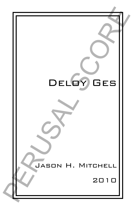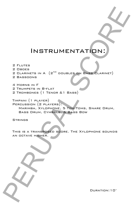

- 2 Flutes
- 2 Oboes
- $2$  CLARINETS IN A  $\{2^{ND}$  doubles on Bass CLARINET}
- 2 Bassoons
- 4 Horns in F
- 2 Trumpets in B-flat
- $2$  Trombones  $\{1$  Tenor & 1 BASS $\}$

# Instrumentation:

TIMPANI  $\{1$  PLAYER $\}$ Percussion {2 players}: Marimba, Xylophone, 5 Tom-Toms, Snare Drum, Bass Drum, Cymbals, & Bass Bow

**STRINGS** 

THIS IS A TRANSPOSED SCORE. THE XYLOPHONE SOUNDS an octave higher.

## Duration:10'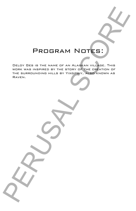

## PROGRAM NOTES:

DELOY GES IS THE NAME OF AN ALASKAN VILLAGE. THIS work was inspired by the story of the creation of the surrounding hills by Yixgitsiy, also known as Raven.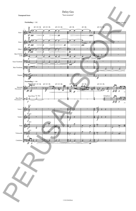© 2010 JHoltMusic

#### **Transposed Score**







## Deloy Ges

"burn mountain"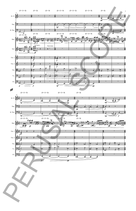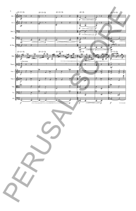